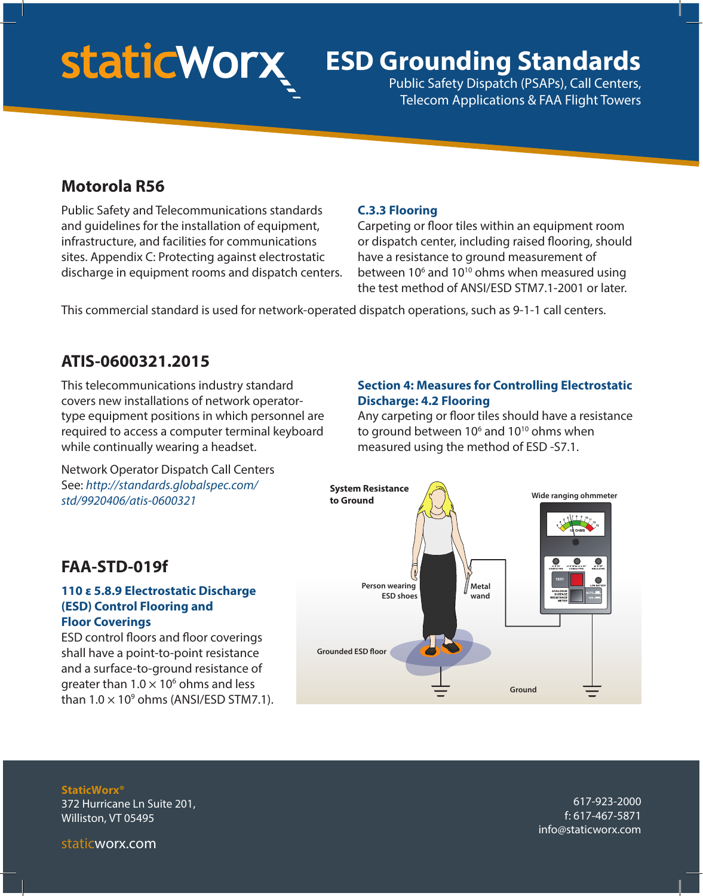# **staticWorx**

# **ESD Grounding Standards**

Public Safety Dispatch (PSAPs), Call Centers, Telecom Applications & FAA Flight Towers

# **Motorola R56**

Public Safety and Telecommunications standards and guidelines for the installation of equipment, infrastructure, and facilities for communications sites. Appendix C: Protecting against electrostatic discharge in equipment rooms and dispatch centers.

### **C.3.3 Flooring**

Carpeting or floor tiles within an equipment room or dispatch center, including raised flooring, should have a resistance to ground measurement of between  $10<sup>6</sup>$  and  $10<sup>10</sup>$  ohms when measured using the test method of ANSI/ESD STM7.1-2001 or later.

This commercial standard is used for network-operated dispatch operations, such as 9-1-1 call centers.

# **ATIS-0600321.2015**

This telecommunications industry standard covers new installations of network operatortype equipment positions in which personnel are required to access a computer terminal keyboard while continually wearing a headset.

Network Operator Dispatch Call Centers See: *http://standards.globalspec.com/ std/9920406/atis-0600321*

### **Section 4: Measures for Controlling Electrostatic Discharge: 4.2 Flooring**

Any carpeting or floor tiles should have a resistance to ground between 10 $6$  and 10 $10$  ohms when measured using the method of ESD -S7.1.



# **FAA-STD-019f**

#### **110 ε 5.8.9 Electrostatic Discharge (ESD) Control Flooring and Floor Coverings**

ESD control floors and floor coverings shall have a point-to-point resistance and a surface-to-ground resistance of greater than  $1.0 \times 10^6$  ohms and less than  $1.0 \times 10^9$  ohms (ANSI/ESD STM7.1).

**StaticWorx®** 372 Hurricane Ln Suite 201, Williston, VT 05495

617-923-2000 f: 617-467-5871 info@staticworx.com

staticworx.com